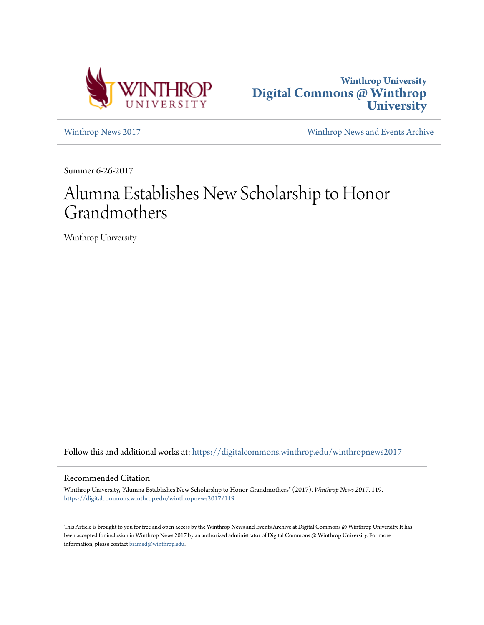



[Winthrop News 2017](https://digitalcommons.winthrop.edu/winthropnews2017?utm_source=digitalcommons.winthrop.edu%2Fwinthropnews2017%2F119&utm_medium=PDF&utm_campaign=PDFCoverPages) [Winthrop News and Events Archive](https://digitalcommons.winthrop.edu/winthropnewsarchives?utm_source=digitalcommons.winthrop.edu%2Fwinthropnews2017%2F119&utm_medium=PDF&utm_campaign=PDFCoverPages)

Summer 6-26-2017

# Alumna Establishes New Scholarship to Honor Grandmothers

Winthrop University

Follow this and additional works at: [https://digitalcommons.winthrop.edu/winthropnews2017](https://digitalcommons.winthrop.edu/winthropnews2017?utm_source=digitalcommons.winthrop.edu%2Fwinthropnews2017%2F119&utm_medium=PDF&utm_campaign=PDFCoverPages)

#### Recommended Citation

Winthrop University, "Alumna Establishes New Scholarship to Honor Grandmothers" (2017). *Winthrop News 2017*. 119. [https://digitalcommons.winthrop.edu/winthropnews2017/119](https://digitalcommons.winthrop.edu/winthropnews2017/119?utm_source=digitalcommons.winthrop.edu%2Fwinthropnews2017%2F119&utm_medium=PDF&utm_campaign=PDFCoverPages)

This Article is brought to you for free and open access by the Winthrop News and Events Archive at Digital Commons @ Winthrop University. It has been accepted for inclusion in Winthrop News 2017 by an authorized administrator of Digital Commons @ Winthrop University. For more information, please contact [bramed@winthrop.edu](mailto:bramed@winthrop.edu).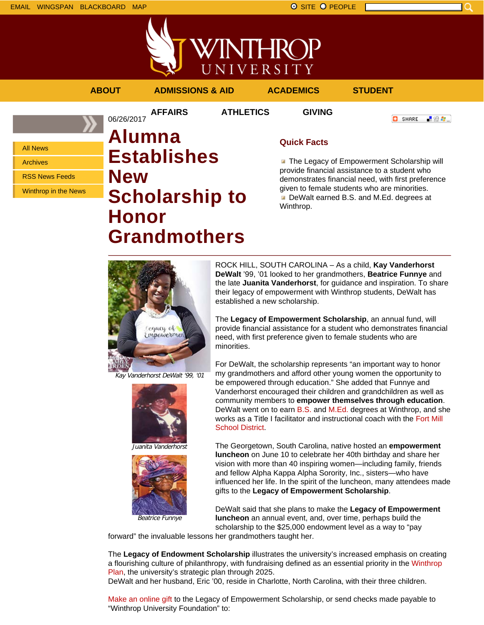

**AFFAIRS ATHLETICS GIVING**

06/26/2017

**ABOUT ADMISSIONS & AID ACADEMICS STUDENT**

**O** SHARE 「验費」

All News

Archives

RSS News Feeds

Winthrop in the News

# **Alumna Establishes New Scholarship to Honor**

**Grandmothers**

# **Quick Facts**

**The Legacy of Empowerment Scholarship will** provide financial assistance to a student who demonstrates financial need, with first preference given to female students who are minorities. DeWalt earned B.S. and M.Ed. degrees at Winthrop.



Kay Vanderhorst DeWalt '99, '01



Juanita Vanderhorst



ROCK HILL, SOUTH CAROLINA – As a child, **Kay Vanderhorst DeWalt** '99, '01 looked to her grandmothers, **Beatrice Funnye** and the late **Juanita Vanderhorst**, for guidance and inspiration. To share their legacy of empowerment with Winthrop students, DeWalt has established a new scholarship.

The **Legacy of Empowerment Scholarship**, an annual fund, will provide financial assistance for a student who demonstrates financial need, with first preference given to female students who are minorities.

For DeWalt, the scholarship represents "an important way to honor my grandmothers and afford other young women the opportunity to be empowered through education." She added that Funnye and Vanderhorst encouraged their children and grandchildren as well as community members to **empower themselves through education**. DeWalt went on to earn B.S. and M.Ed. degrees at Winthrop, and she works as a Title I facilitator and instructional coach with the Fort Mill School District.

The Georgetown, South Carolina, native hosted an **empowerment luncheon** on June 10 to celebrate her 40th birthday and share her vision with more than 40 inspiring women—including family, friends and fellow Alpha Kappa Alpha Sorority, Inc., sisters—who have influenced her life. In the spirit of the luncheon, many attendees made gifts to the **Legacy of Empowerment Scholarship**.

DeWalt said that she plans to make the **Legacy of Empowerment luncheon** an annual event, and, over time, perhaps build the scholarship to the \$25,000 endowment level as a way to "pay

forward" the invaluable lessons her grandmothers taught her.

The **Legacy of Endowment Scholarship** illustrates the university's increased emphasis on creating a flourishing culture of philanthropy, with fundraising defined as an essential priority in the Winthrop Plan, the university's strategic plan through 2025.

DeWalt and her husband, Eric '00, reside in Charlotte, North Carolina, with their three children.

Make an online gift to the Legacy of Empowerment Scholarship, or send checks made payable to "Winthrop University Foundation" to: